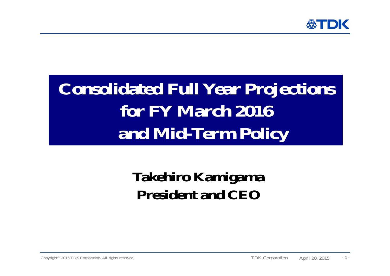

# **Consolidated Full Year Projections for FY March 2016 and Mid-Term Policy**

## **Takehiro Kamigama President and CEO**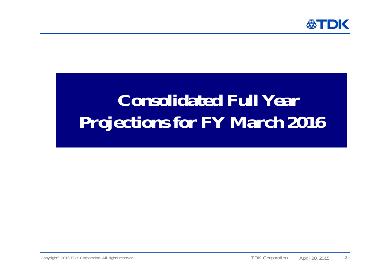

# **Consolidated Full Year Projections for FY March 2016**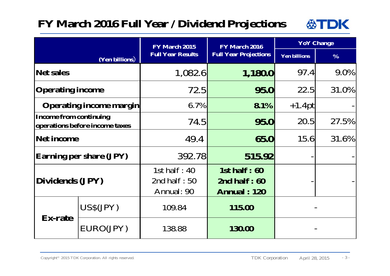### **FY March 2016 Full Year / Dividend Projections**



|                                                                 |           | FY March 2015                                    | FY March 2016                                           | <b>YoY</b> Change   |               |
|-----------------------------------------------------------------|-----------|--------------------------------------------------|---------------------------------------------------------|---------------------|---------------|
| (Yen billions)                                                  |           | <b>Full Year Results</b>                         | <b>Full Year Projections</b>                            | <b>Yen billions</b> | $\frac{0}{0}$ |
| Net sales                                                       |           | 1,082.6                                          | 1,180.0                                                 | 97.4                | 9.0%          |
| <b>Operating income</b>                                         |           | 72.5                                             | 95.0                                                    | 22.5                | 31.0%         |
| <b>Operating income margin</b>                                  |           | $6.7\%$                                          | $8.1\%$                                                 | $+1.4pt$            |               |
| <b>Income from continuing</b><br>operations before income taxes |           | 74.5                                             | 95.0                                                    | 20.5                | 27.5%         |
| <b>Net income</b>                                               |           | 49.4                                             | 65.0                                                    | 15.6                | 31.6%         |
| <b>Earning per share (JPY)</b>                                  |           | 392.78                                           | 515.92                                                  |                     |               |
| Dividends (JPY)                                                 |           | 1st half : $40$<br>2nd half : $50$<br>Annual: 90 | 1st half $: 60$<br>2nd half $:60$<br><b>Annual: 120</b> |                     |               |
| <b>Ex-rate</b>                                                  | US\$(JPY) | 109.84                                           | 115.00                                                  |                     |               |
|                                                                 | EURO(JPY) | 138.88                                           | 130.00                                                  |                     |               |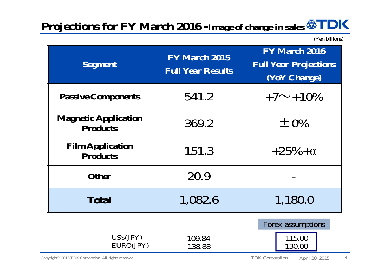### **Projections for FY March 2016 -Image of change in sales**

(Yen billions)

| <b>Segment</b>                                 | <b>FY March 2015</b><br><b>Full Year Results</b> | <b>FY March 2016</b><br><b>Full Year Projections</b><br>(YoY Change) |  |
|------------------------------------------------|--------------------------------------------------|----------------------------------------------------------------------|--|
| <b>Passive Components</b>                      | 541.2                                            | $+7 \sim +10\%$                                                      |  |
| <b>Magnetic Application</b><br><b>Products</b> | 369.2                                            | $\pm 0\%$                                                            |  |
| <b>Film Application</b><br><b>Products</b>     | 151.3                                            | $+25% + \alpha$                                                      |  |
| <b>Other</b>                                   | 20.9                                             |                                                                      |  |
| <b>Total</b>                                   | 1,082.6                                          | 1,180.0                                                              |  |
| US\$(JPY)<br>EURO(JPY)                         | 109.84<br>138.88                                 | Forex assumptions<br>115.00<br>130.00                                |  |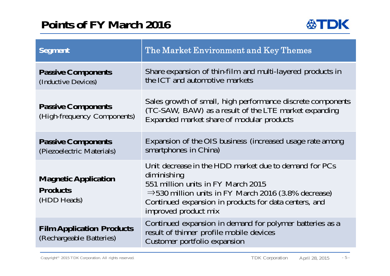### **Points of FY March 2016**



| <b>Segment</b>                                                | The Market Environment and Key Themes                                                                                                                                                                                                                           |  |
|---------------------------------------------------------------|-----------------------------------------------------------------------------------------------------------------------------------------------------------------------------------------------------------------------------------------------------------------|--|
| <b>Passive Components</b><br>(Inductive Devices)              | Share expansion of thin-film and multi-layered products in<br>the ICT and automotive markets                                                                                                                                                                    |  |
| <b>Passive Components</b><br>(High-frequency Components)      | Sales growth of small, high performance discrete components<br>(TC-SAW, BAW) as a result of the LTE market expanding<br>Expanded market share of modular products                                                                                               |  |
| <b>Passive Components</b><br>(Piezoelectric Materials)        | Expansion of the OIS business (increased usage rate among<br>smartphones in China)                                                                                                                                                                              |  |
| <b>Magnetic Application</b><br><b>Products</b><br>(HDD Heads) | Unit decrease in the HDD market due to demand for PCs<br>diminishing<br>551 million units in FY March 2015<br>$\Rightarrow$ 530 million units in FY March 2016 (3.8% decrease)<br>Continued expansion in products for data centers, and<br>improved product mix |  |
| <b>Film Application Products</b><br>(Rechargeable Batteries)  | Continued expansion in demand for polymer batteries as a<br>result of thinner profile mobile devices<br>Customer portfolio expansion                                                                                                                            |  |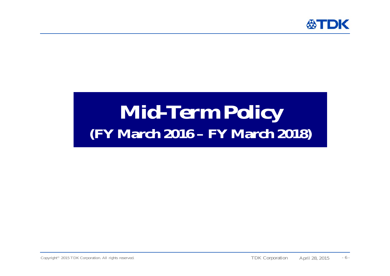

# **Mid-Term Policy (FY March 2016 – FY March 2018)**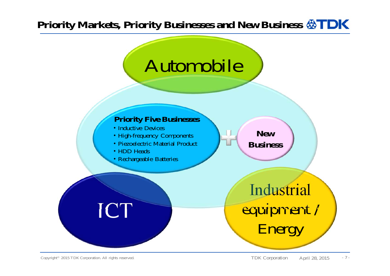### Priority Markets, Priority Businesses and New Business **& TDK**



#### **Priority Five Businesses**

- ・Inductive Devices
- ・High-frequency Components
- ・Piezoelectric Material Product
- ・HDD Heads
- ・Rechargeable Batteries

# ICT



Industrial equipment /

Energy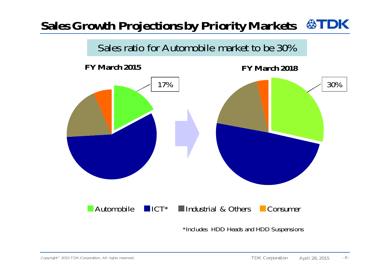#### **公TDK Sales Growth Projections by Priority Markets**



**FY March 2015**

**FY March 2018**



■Automobile ■ICT\*■Industrial & Others ■ Consumer

\*Includes HDD Heads and HDD Suspensions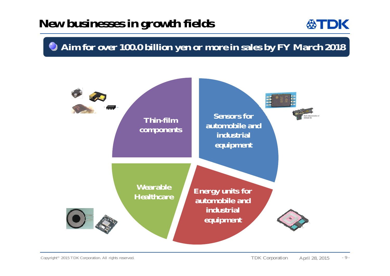### **New businesses in growth fields**



### **Aim for over 100.0 billion yen or more in sales by FY March 2018**

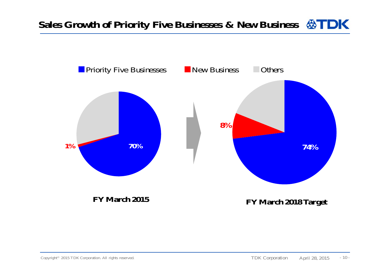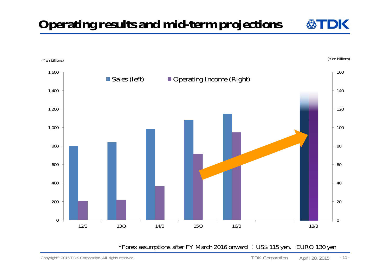**Operating results and mid-term projections**



\*Forex assumptions after FY March 2016 onward :US\$ 115 yen, EURO 130 yen

DK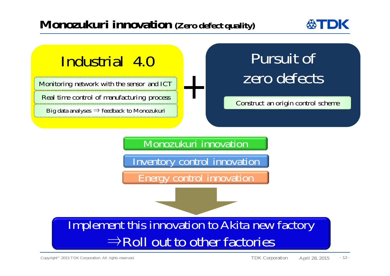### **Monozukuri innovation (Zero defect quality)**



## Industrial 4.0

Monitoring network with the sensor and ICT

Real time control of manufacturing process

Big data analyses  $\Rightarrow$  feedback to Monozukuri

## Pursuit of zero defects

Construct an origin control scheme

Monozukuri innovation Inventory control innovation Energy control innovation

### Implement this innovation to Akita new factory ⇒Roll out to other factories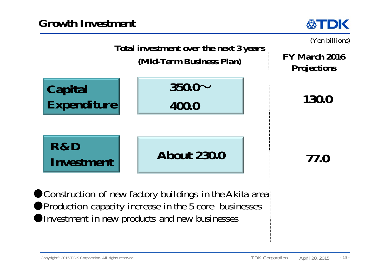



**• Construction of new factory buildings in the Akita area Production capacity increase in the 5 core businesses** Investment in new products and new businesses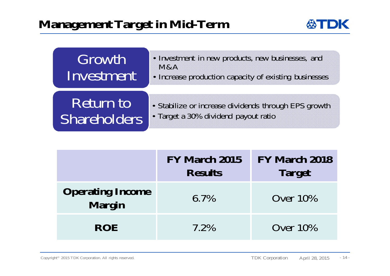

| Growth<br>Investment | • Investment in new products, new businesses, and<br>M&A<br>• Increase production capacity of existing businesses |
|----------------------|-------------------------------------------------------------------------------------------------------------------|
| Return to            | • Stabilize or increase dividends through EPS growth                                                              |
| <b>Shareholders</b>  | • Target a 30% dividend payout ratio                                                                              |

|                                          | FY March 2015<br><b>Results</b> | <b>FY March 2018</b><br><b>Target</b> |
|------------------------------------------|---------------------------------|---------------------------------------|
| <b>Operating Income</b><br><b>Margin</b> | $6.7\%$                         | Over $10\%$                           |
| <b>ROE</b>                               | 7.2%                            | Over $10\%$                           |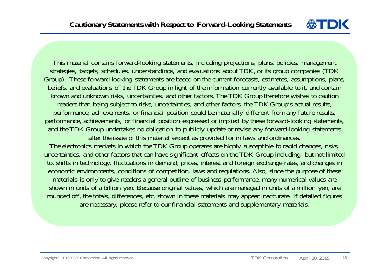

This material contains forward-looking statements, including projections, plans, policies, management strategies, targets, schedules, understandings, and evaluations about TDK, or its group companies (TDK Group). These forward-looking statements are based on the current forecasts, estimates, assumptions, plans, beliefs, and evaluations of the TDK Group in light of the information currently available to it, and contain known and unknown risks, uncertainties, and other factors. The TDK Group therefore wishes to caution readers that, being subject to risks, uncertainties, and other factors, the TDK Group's actual results, performance, achievements, or financial position could be materially different from any future results, performance, achievements, or financial position expressed or implied by these forward-looking statements, and the TDK Group undertakes no obligation to publicly update or revise any forward-looking statements after the issue of this material except as provided for in laws and ordinances.

The electronics markets in which the TDK Group operates are highly susceptible to rapid changes, risks, uncertainties, and other factors that can have significant effects on the TDK Group including, but not limited to, shifts in technology, fluctuations in demand, prices, interest and foreign exchange rates, and changes in economic environments, conditions of competition, laws and regulations. Also, since the purpose of these materials is only to give readers a general outline of business performance, many numerical values are shown in units of a billion yen. Because original values, which are managed in units of a million yen, are rounded off, the totals, differences, etc. shown in these materials may appear inaccurate. If detailed figures are necessary, please refer to our financial statements and supplementary materials.